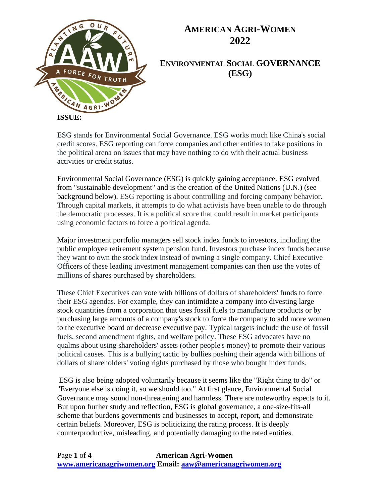

**ENVIRONMENTAL SOCIAL GOVERNANCE (ESG)**

ESG stands for Environmental Social Governance. ESG works much like China's social credit scores. ESG reporting can force companies and other entities to take positions in the political arena on issues that may have nothing to do with their actual business activities or credit status.

Environmental Social Governance (ESG) is quickly gaining acceptance. ESG evolved from "sustainable development" and is the creation of the United Nations (U.N.) (see background below). ESG reporting is about controlling and forcing company behavior. Through capital markets, it attempts to do what activists have been unable to do through the democratic processes. It is a political score that could result in market participants using economic factors to force a political agenda.

Major investment portfolio managers sell stock index funds to investors, including the public employee retirement system pension fund. Investors purchase index funds because they want to own the stock index instead of owning a single company. Chief Executive Officers of these leading investment management companies can then use the votes of millions of shares purchased by shareholders.

These Chief Executives can vote with billions of dollars of shareholders' funds to force their ESG agendas. For example, they can intimidate a company into divesting large stock quantities from a corporation that uses fossil fuels to manufacture products or by purchasing large amounts of a company's stock to force the company to add more women to the executive board or decrease executive pay. Typical targets include the use of fossil fuels, second amendment rights, and welfare policy. These ESG advocates have no qualms about using shareholders' assets (other people's money) to promote their various political causes. This is a bullying tactic by bullies pushing their agenda with billions of dollars of shareholders' voting rights purchased by those who bought index funds.

ESG is also being adopted voluntarily because it seems like the "Right thing to do" or "Everyone else is doing it, so we should too." At first glance, Environmental Social Governance may sound non-threatening and harmless. There are noteworthy aspects to it. But upon further study and reflection, ESG is global governance, a one-size-fits-all scheme that burdens governments and businesses to accept, report, and demonstrate certain beliefs. Moreover, ESG is politicizing the rating process. It is deeply counterproductive, misleading, and potentially damaging to the rated entities.

Page **1** of **4 American Agri-Women [www.americanagriwomen.org](http://www.americanagriwomen.org/) Email: [aaw@americanagriwomen.org](mailto:aaw@americanagriwomen.org)**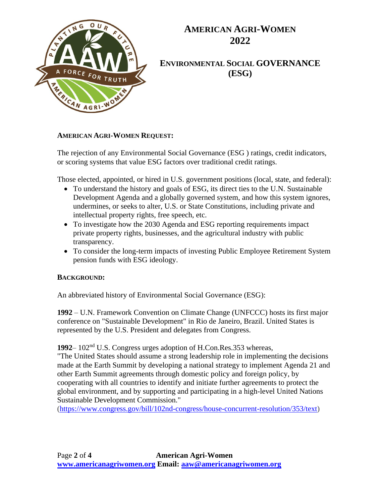

**ENVIRONMENTAL SOCIAL GOVERNANCE (ESG)**

#### **AMERICAN AGRI-WOMEN REQUEST:**

The rejection of any Environmental Social Governance (ESG ) ratings, credit indicators, or scoring systems that value ESG factors over traditional credit ratings.

Those elected, appointed, or hired in U.S. government positions (local, state, and federal):

- To understand the history and goals of ESG, its direct ties to the U.N. Sustainable Development Agenda and a globally governed system, and how this system ignores, undermines, or seeks to alter, U.S. or State Constitutions, including private and intellectual property rights, free speech, etc.
- To investigate how the 2030 Agenda and ESG reporting requirements impact private property rights, businesses, and the agricultural industry with public transparency.
- To consider the long-term impacts of investing Public Employee Retirement System pension funds with ESG ideology.

#### **BACKGROUND:**

An abbreviated history of Environmental Social Governance (ESG):

**1992** – U.N. Framework Convention on Climate Change (UNFCCC) hosts its first major conference on "Sustainable Development" in Rio de Janeiro, Brazil. United States is represented by the U.S. President and delegates from Congress.

**1992**– 102nd U.S. Congress urges adoption of H.Con.Res.353 whereas,

"The United States should assume a strong leadership role in implementing the decisions made at the Earth Summit by developing a national strategy to implement Agenda 21 and other Earth Summit agreements through domestic policy and foreign policy, by cooperating with all countries to identify and initiate further agreements to protect the global environment, and by supporting and participating in a high-level United Nations Sustainable Development Commission."

[\(https://www.congress.gov/bill/102nd-congress/house-concurrent-resolution/353/text\)](https://www.congress.gov/bill/102nd-congress/house-concurrent-resolution/353/text)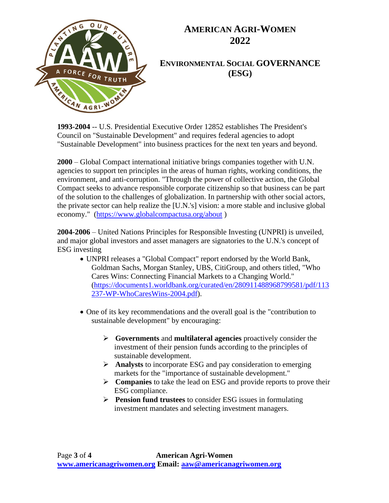

**ENVIRONMENTAL SOCIAL GOVERNANCE (ESG)**

**1993-2004** -- U.S. Presidential Executive Order 12852 establishes The President's Council on "Sustainable Development" and requires federal agencies to adopt "Sustainable Development" into business practices for the next ten years and beyond.

**2000** – Global Compact international initiative brings companies together with U.N. agencies to support ten principles in the areas of human rights, working conditions, the environment, and anti-corruption. "Through the power of collective action, the Global Compact seeks to advance responsible corporate citizenship so that business can be part of the solution to the challenges of globalization. In partnership with other social actors, the private sector can help realize the [U.N.'s] vision: a more stable and inclusive global economy." [\(https://www.globalcompactusa.org/about](https://www.globalcompactusa.org/about) )

**2004-2006** – United Nations Principles for Responsible Investing (UNPRI) is unveiled, and major global investors and asset managers are signatories to the U.N.'s concept of ESG investing

- UNPRI releases a "Global Compact" report endorsed by the World Bank, Goldman Sachs, Morgan Stanley, UBS, CitiGroup, and others titled, "Who Cares Wins: Connecting Financial Markets to a Changing World." [\(https://documents1.worldbank.org/curated/en/280911488968799581/pdf/113](https://documents1.worldbank.org/curated/en/280911488968799581/pdf/113237-WP-WhoCaresWins-2004.pdf) [237-WP-WhoCaresWins-2004.pdf\)](https://documents1.worldbank.org/curated/en/280911488968799581/pdf/113237-WP-WhoCaresWins-2004.pdf).
- One of its key recommendations and the overall goal is the "contribution to sustainable development" by encouraging:
	- ➢ **Governments** and **multilateral agencies** proactively consider the investment of their pension funds according to the principles of sustainable development.
	- ➢ **Analysts** to incorporate ESG and pay consideration to emerging markets for the "importance of sustainable development."
	- ➢ **Companies** to take the lead on ESG and provide reports to prove their ESG compliance.
	- ➢ **Pension fund trustees** to consider ESG issues in formulating investment mandates and selecting investment managers.